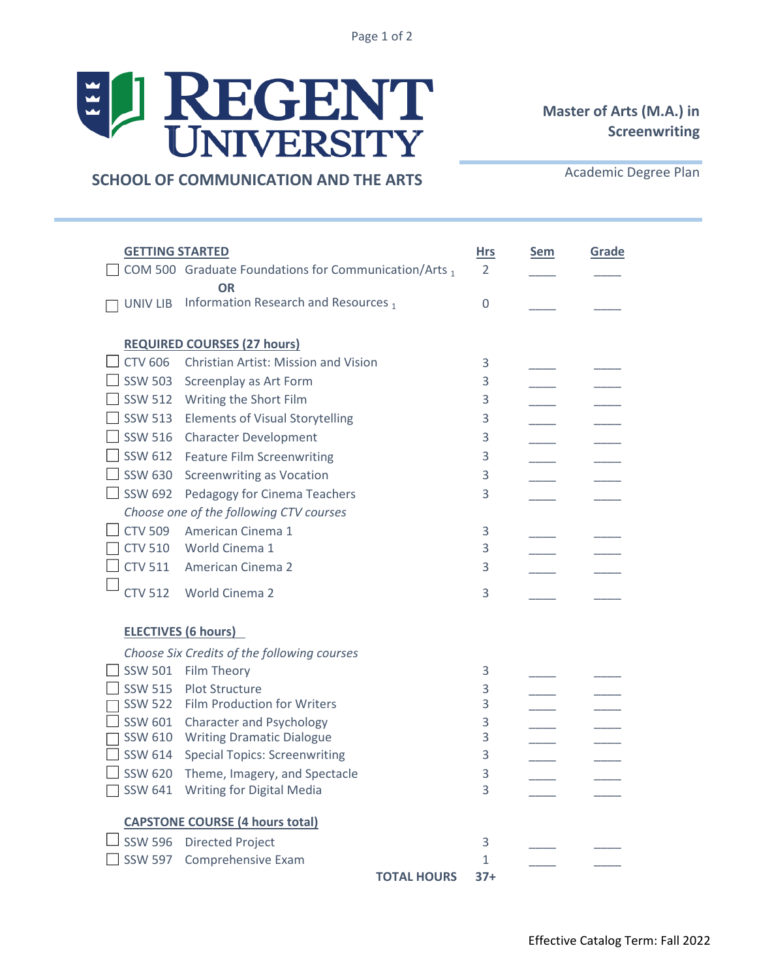Page 1 of 2

## EL REGENT

## **Master of Arts (M.A.) in Screenwriting**

**SCHOOL OF COMMUNICATION AND THE ARTS**

Academic Degree Plan

| <b>GETTING STARTED</b>             |                                                                   | <b>Hrs</b>   | <u>Sem</u> | Grade |
|------------------------------------|-------------------------------------------------------------------|--------------|------------|-------|
|                                    | COM 500 Graduate Foundations for Communication/Arts 1             | 2            |            |       |
|                                    | <b>OR</b>                                                         |              |            |       |
| UNIV LIB                           | Information Research and Resources,                               | 0            |            |       |
|                                    |                                                                   |              |            |       |
| <b>REQUIRED COURSES (27 hours)</b> |                                                                   |              |            |       |
| $CTV$ 606                          | Christian Artist: Mission and Vision                              | 3            |            |       |
| <b>SSW 503</b>                     | Screenplay as Art Form                                            | 3            |            |       |
| <b>SSW 512</b>                     | Writing the Short Film                                            | 3            |            |       |
| <b>SSW 513</b>                     | <b>Elements of Visual Storytelling</b>                            | 3            |            |       |
| <b>SSW 516</b>                     | <b>Character Development</b>                                      | 3            |            |       |
| $\overline{\phantom{0}}$ SSW 612   | <b>Feature Film Screenwriting</b>                                 | 3            |            |       |
| $\Box$ SSW 630                     | <b>Screenwriting as Vocation</b>                                  | 3            |            |       |
| <b>SSW 692</b>                     | Pedagogy for Cinema Teachers                                      | 3            |            |       |
|                                    | Choose one of the following CTV courses                           |              |            |       |
| $\Box$ CTV 509                     | American Cinema 1                                                 | 3            |            |       |
| <b>CTV 510</b>                     | World Cinema 1                                                    | 3            |            |       |
| <b>CTV 511</b>                     | American Cinema 2                                                 | 3            |            |       |
| <b>CTV 512</b>                     | World Cinema 2                                                    | 3            |            |       |
|                                    |                                                                   |              |            |       |
| <b>ELECTIVES (6 hours)</b>         |                                                                   |              |            |       |
|                                    | Choose Six Credits of the following courses                       |              |            |       |
| <b>SSW 501</b>                     | Film Theory                                                       | 3            |            |       |
| <b>SSW 515</b>                     | <b>Plot Structure</b>                                             | 3            |            |       |
| <b>SSW 522</b>                     | <b>Film Production for Writers</b>                                | 3            |            |       |
| SSW 601                            | <b>Character and Psychology</b>                                   | 3            |            |       |
| SSW 610                            | <b>Writing Dramatic Dialogue</b>                                  | 3            |            |       |
| SSW 614                            | <b>Special Topics: Screenwriting</b>                              | 3            |            |       |
| <b>SSW 620</b><br><b>SSW 641</b>   | Theme, Imagery, and Spectacle<br><b>Writing for Digital Media</b> | 3<br>3       |            |       |
|                                    |                                                                   |              |            |       |
|                                    | <b>CAPSTONE COURSE (4 hours total)</b>                            |              |            |       |
| SSW 596 Directed Project           |                                                                   | 3            |            |       |
| <b>SSW 597</b>                     | Comprehensive Exam                                                | $\mathbf{1}$ |            |       |
|                                    | <b>TOTAL HOURS</b>                                                | $37+$        |            |       |